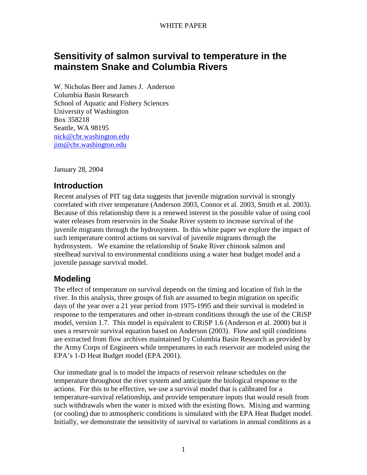# **Sensitivity of salmon survival to temperature in the mainstem Snake and Columbia Rivers**

W. Nicholas Beer and James J. Anderson Columbia Basin Research School of Aquatic and Fishery Sciences University of Washington Box 358218 Seattle, WA 98195 nick@cbr.washington.edu jim@cbr.washington.edu

January 28, 2004

# **Introduction**

Recent analyses of PIT tag data suggests that juvenile migration survival is strongly correlated with river temperature (Anderson 2003, Connor et al. 2003, Smith et al. 2003). Because of this relationship there is a renewed interest in the possible value of using cool water releases from reservoirs in the Snake River system to increase survival of the juvenile migrants through the hydrosystem. In this white paper we explore the impact of such temperature control actions on survival of juvenile migrants through the hydrosystem. We examine the relationship of Snake River chinook salmon and steelhead survival to environmental conditions using a water heat budget model and a juvenile passage survival model.

# **Modeling**

The effect of temperature on survival depends on the timing and location of fish in the river. In this analysis, three groups of fish are assumed to begin migration on specific days of the year over a 21 year period from 1975-1995 and their survival is modeled in response to the temperatures and other in-stream conditions through the use of the CRiSP model, version 1.7. This model is equivalent to CRiSP 1.6 (Anderson et al. 2000) but it uses a reservoir survival equation based on Anderson (2003). Flow and spill conditions are extracted from flow archives maintained by Columbia Basin Research as provided by the Army Corps of Engineers while temperatures in each reservoir are modeled using the EPA's 1-D Heat Budget model (EPA 2001).

Our immediate goal is to model the impacts of reservoir release schedules on the temperature throughout the river system and anticipate the biological response to the actions. For this to be effective, we use a survival model that is calibrated for a temperature-survival relationship, and provide temperature inputs that would result from such withdrawals when the water is mixed with the existing flows. Mixing and warming (or cooling) due to atmospheric conditions is simulated with the EPA Heat Budget model. Initially, we demonstrate the sensitivity of survival to variations in annual conditions as a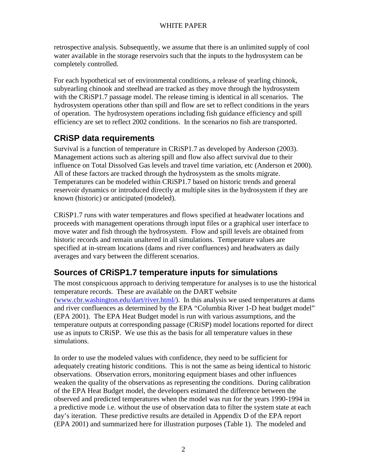retrospective analysis. Subsequently, we assume that there is an unlimited supply of cool water available in the storage reservoirs such that the inputs to the hydrosystem can be completely controlled.

For each hypothetical set of environmental conditions, a release of yearling chinook, subyearling chinook and steelhead are tracked as they move through the hydrosystem with the CRiSP1.7 passage model. The release timing is identical in all scenarios. The hydrosystem operations other than spill and flow are set to reflect conditions in the years of operation. The hydrosystem operations including fish guidance efficiency and spill efficiency are set to reflect 2002 conditions. In the scenarios no fish are transported.

# **CRiSP data requirements**

Survival is a function of temperature in CRiSP1.7 as developed by Anderson (2003). Management actions such as altering spill and flow also affect survival due to their influence on Total Dissolved Gas levels and travel time variation, etc (Anderson et 2000). All of these factors are tracked through the hydrosystem as the smolts migrate. Temperatures can be modeled within CRiSP1.7 based on historic trends and general reservoir dynamics or introduced directly at multiple sites in the hydrosystem if they are known (historic) or anticipated (modeled).

CRiSP1.7 runs with water temperatures and flows specified at headwater locations and proceeds with management operations through input files or a graphical user interface to move water and fish through the hydrosystem. Flow and spill levels are obtained from historic records and remain unaltered in all simulations. Temperature values are specified at in-stream locations (dams and river confluences) and headwaters as daily averages and vary between the different scenarios.

# **Sources of CRiSP1.7 temperature inputs for simulations**

The most conspicuous approach to deriving temperature for analyses is to use the historical temperature records. These are available on the DART website (www.cbr.washington.edu/dart/river.html/). In this analysis we used temperatures at dams and river confluences as determined by the EPA "Columbia River 1-D heat budget model" (EPA 2001). The EPA Heat Budget model is run with various assumptions, and the temperature outputs at corresponding passage (CRiSP) model locations reported for direct use as inputs to CRiSP. We use this as the basis for all temperature values in these simulations.

In order to use the modeled values with confidence, they need to be sufficient for adequately creating historic conditions. This is not the same as being identical to historic observations. Observation errors, monitoring equipment biases and other influences weaken the quality of the observations as representing the conditions. During calibration of the EPA Heat Budget model, the developers estimated the difference between the observed and predicted temperatures when the model was run for the years 1990-1994 in a predictive mode i.e. without the use of observation data to filter the system state at each day's iteration. These predictive results are detailed in Appendix D of the EPA report (EPA 2001) and summarized here for illustration purposes (Table 1). The modeled and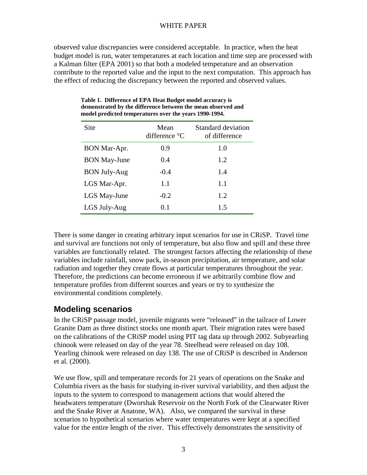observed value discrepancies were considered acceptable. In practice, when the heat budget model is run, water temperatures at each location and time step are processed with a Kalman filter (EPA 2001) so that both a modeled temperature and an observation contribute to the reported value and the input to the next computation. This approach has the effect of reducing the discrepancy between the reported and observed values.

| Site                | Mean<br>difference $\mathrm{C}$ | <b>Standard deviation</b><br>of difference |
|---------------------|---------------------------------|--------------------------------------------|
| BON Mar-Apr.        | 0.9                             | 1.0                                        |
| <b>BON May-June</b> | 0.4                             | 1.2                                        |
| <b>BON July-Aug</b> | $-0.4$                          | 1.4                                        |
| LGS Mar-Apr.        | 1.1                             | 1.1                                        |
| LGS May-June        | $-0.2$                          | 1.2                                        |
| LGS July-Aug        | 0.1                             | 1.5                                        |

**Table 1. Difference of EPA Heat Budget model accuracy is demonstrated by the difference between the mean observed and model predicted temperatures over the years 1990-1994.** 

There is some danger in creating arbitrary input scenarios for use in CRiSP. Travel time and survival are functions not only of temperature, but also flow and spill and these three variables are functionally related. The strongest factors affecting the relationship of these variables include rainfall, snow pack, in-season precipitation, air temperature, and solar radiation and together they create flows at particular temperatures throughout the year. Therefore, the predictions can become erroneous if we arbitrarily combine flow and temperature profiles from different sources and years or try to synthesize the environmental conditions completely.

# **Modeling scenarios**

In the CRiSP passage model, juvenile migrants were "released" in the tailrace of Lower Granite Dam as three distinct stocks one month apart. Their migration rates were based on the calibrations of the CRiSP model using PIT tag data up through 2002. Subyearling chinook were released on day of the year 78. Steelhead were released on day 108. Yearling chinook were released on day 138. The use of CRiSP is described in Anderson et al. (2000).

We use flow, spill and temperature records for 21 years of operations on the Snake and Columbia rivers as the basis for studying in-river survival variability, and then adjust the inputs to the system to correspond to management actions that would altered the headwaters temperature (Dworshak Reservoir on the North Fork of the Clearwater River and the Snake River at Anatone, WA). Also, we compared the survival in these scenarios to hypothetical scenarios where water temperatures were kept at a specified value for the entire length of the river. This effectively demonstrates the sensitivity of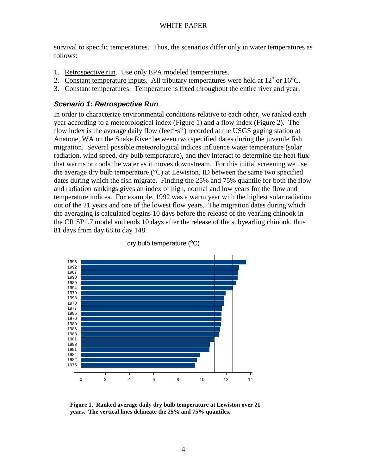survival to specific temperatures. Thus, the scenarios differ only in water temperatures as follows:

- 1. Retrospective run. Use only EPA modeled temperatures.
- 2. Constant temperature inputs. All tributary temperatures were held at  $12^{\circ}$  or  $16^{\circ}$ C.
- 3. Constant temperatures. Temperature is fixed throughout the entire river and year.

### **Scenario 1: Retrospective Run**

In order to characterize environmental conditions relative to each other, we ranked each year according to a meteorological index (Figure 1) and a flow index (Figure 2). The flow index is the average daily flow (feet<sup>3•s<sup>-1</sup>) recorded at the USGS gaging station at</sup> Anatone, WA on the Snake River between two specified dates during the juvenile fish migration. Several possible meteorological indices influence water temperature (solar radiation, wind speed, dry bulb temperature), and they interact to determine the heat flux that warms or cools the water as it moves downstream. For this initial screening we use the average dry bulb temperature  $(^{\circ}C)$  at Lewiston, ID between the same two specified dates during which the fish migrate. Finding the 25% and 75% quantile for both the flow and radiation rankings gives an index of high, normal and low years for the flow and temperature indices. For example, 1992 was a warm year with the highest solar radiation out of the 21 years and one of the lowest flow years. The migration dates during which the averaging is calculated begins 10 days before the release of the yearling chinook in the CRiSP1.7 model and ends 10 days after the release of the subyearling chinook, thus 81 days from day 68 to day 148.



dry bulb temperature (<sup>o</sup>C)

**Figure 1. Ranked average daily dry bulb temperature at Lewiston over 21 years. The vertical lines delineate the 25% and 75% quantiles.**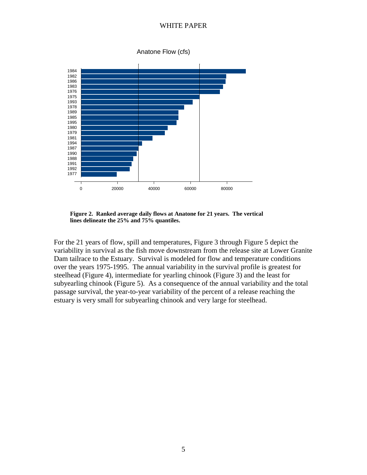Anatone Flow (cfs)



**Figure 2. Ranked average daily flows at Anatone for 21 years. The vertical lines delineate the 25% and 75% quantiles.** 

For the 21 years of flow, spill and temperatures, Figure 3 through Figure 5 depict the variability in survival as the fish move downstream from the release site at Lower Granite Dam tailrace to the Estuary. Survival is modeled for flow and temperature conditions over the years 1975-1995. The annual variability in the survival profile is greatest for steelhead (Figure 4), intermediate for yearling chinook (Figure 3) and the least for subyearling chinook (Figure 5). As a consequence of the annual variability and the total passage survival, the year-to-year variability of the percent of a release reaching the estuary is very small for subyearling chinook and very large for steelhead.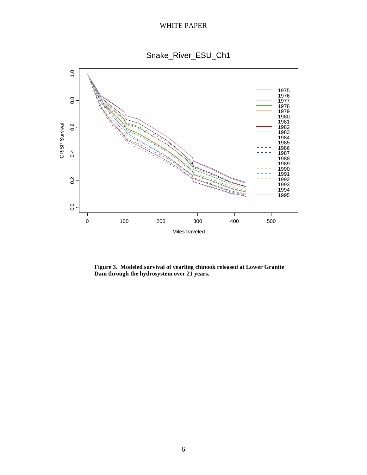Snake\_River\_ESU\_Ch1



**Figure 3. Modeled survival of yearling chinook released at Lower Granite Dam through the hydrosystem over 21 years.**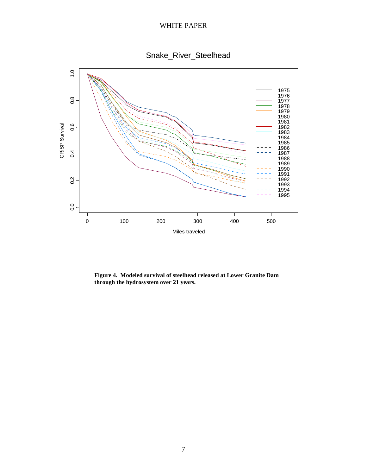



**Figure 4. Modeled survival of steelhead released at Lower Granite Dam through the hydrosystem over 21 years.**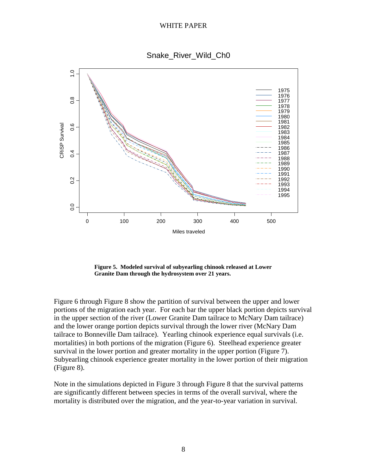Snake\_River\_Wild\_Ch0



**Figure 5. Modeled survival of subyearling chinook released at Lower Granite Dam through the hydrosystem over 21 years.** 

Figure 6 through Figure 8 show the partition of survival between the upper and lower portions of the migration each year. For each bar the upper black portion depicts survival in the upper section of the river (Lower Granite Dam tailrace to McNary Dam tailrace) and the lower orange portion depicts survival through the lower river (McNary Dam tailrace to Bonneville Dam tailrace). Yearling chinook experience equal survivals (i.e. mortalities) in both portions of the migration (Figure 6). Steelhead experience greater survival in the lower portion and greater mortality in the upper portion (Figure 7). Subyearling chinook experience greater mortality in the lower portion of their migration (Figure 8).

Note in the simulations depicted in Figure 3 through Figure 8 that the survival patterns are significantly different between species in terms of the overall survival, where the mortality is distributed over the migration, and the year-to-year variation in survival.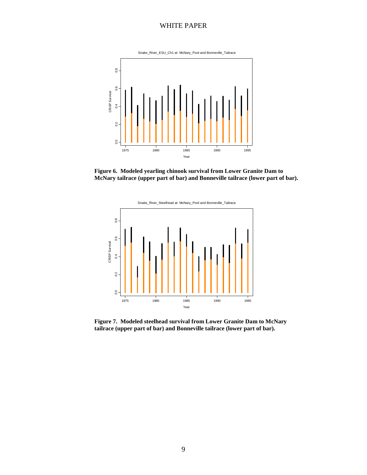





**Figure 7. Modeled steelhead survival from Lower Granite Dam to McNary tailrace (upper part of bar) and Bonneville tailrace (lower part of bar).**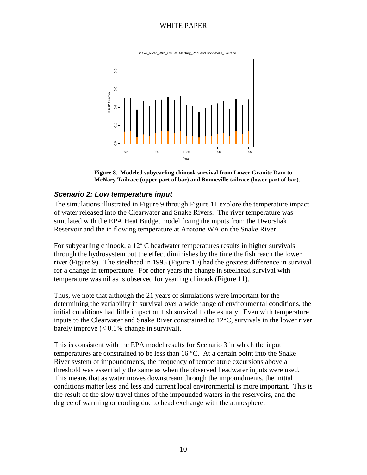

**Figure 8. Modeled subyearling chinook survival from Lower Granite Dam to McNary Tailrace (upper part of bar) and Bonneville tailrace (lower part of bar).** 

## **Scenario 2: Low temperature input**

The simulations illustrated in Figure 9 through Figure 11 explore the temperature impact of water released into the Clearwater and Snake Rivers. The river temperature was simulated with the EPA Heat Budget model fixing the inputs from the Dworshak Reservoir and the in flowing temperature at Anatone WA on the Snake River.

For subyearling chinook, a  $12^{\circ}$ C headwater temperatures results in higher survivals through the hydrosystem but the effect diminishes by the time the fish reach the lower river (Figure 9). The steelhead in 1995 (Figure 10) had the greatest difference in survival for a change in temperature. For other years the change in steelhead survival with temperature was nil as is observed for yearling chinook (Figure 11).

Thus, we note that although the 21 years of simulations were important for the determining the variability in survival over a wide range of environmental conditions, the initial conditions had little impact on fish survival to the estuary. Even with temperature inputs to the Clearwater and Snake River constrained to 12°C, survivals in the lower river barely improve  $\ll 0.1\%$  change in survival).

This is consistent with the EPA model results for Scenario 3 in which the input temperatures are constrained to be less than 16 °C. At a certain point into the Snake River system of impoundments, the frequency of temperature excursions above a threshold was essentially the same as when the observed headwater inputs were used. This means that as water moves downstream through the impoundments, the initial conditions matter less and less and current local environmental is more important. This is the result of the slow travel times of the impounded waters in the reservoirs, and the degree of warming or cooling due to head exchange with the atmosphere.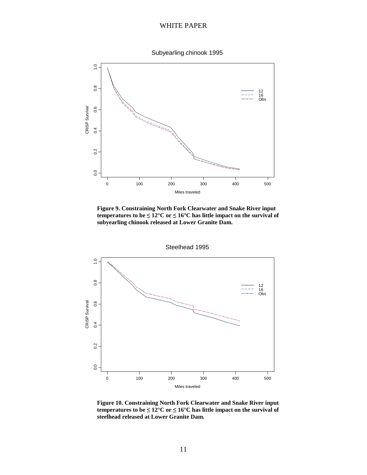Subyearling chinook 1995



**Figure 9. Constraining North Fork Clearwater and Snake River input temperatures to be ≤ 12°C or ≤ 16°C has little impact on the survival of subyearling chinook released at Lower Granite Dam.** 



**Figure 10. Constraining North Fork Clearwater and Snake River input temperatures to be**  $\leq 12^{\circ}$ **C or**  $\leq 16^{\circ}$ **C has little impact on the survival of steelhead released at Lower Granite Dam.**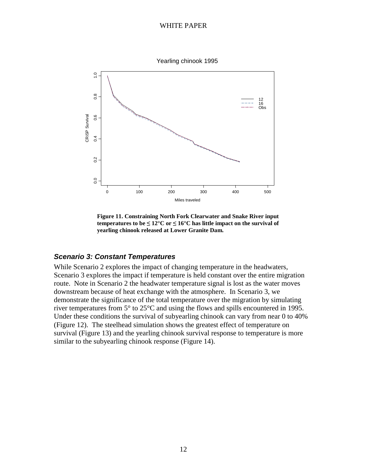

**Figure 11. Constraining North Fork Clearwater and Snake River input temperatures to be**  $\leq 12^{\circ}$ **C or**  $\leq 16^{\circ}$ **C has little impact on the survival of yearling chinook released at Lower Granite Dam.** 

### **Scenario 3: Constant Temperatures**

While Scenario 2 explores the impact of changing temperature in the headwaters, Scenario 3 explores the impact if temperature is held constant over the entire migration route. Note in Scenario 2 the headwater temperature signal is lost as the water moves downstream because of heat exchange with the atmosphere. In Scenario 3, we demonstrate the significance of the total temperature over the migration by simulating river temperatures from 5° to 25°C and using the flows and spills encountered in 1995. Under these conditions the survival of subyearling chinook can vary from near 0 to 40% (Figure 12). The steelhead simulation shows the greatest effect of temperature on survival (Figure 13) and the yearling chinook survival response to temperature is more similar to the subyearling chinook response (Figure 14).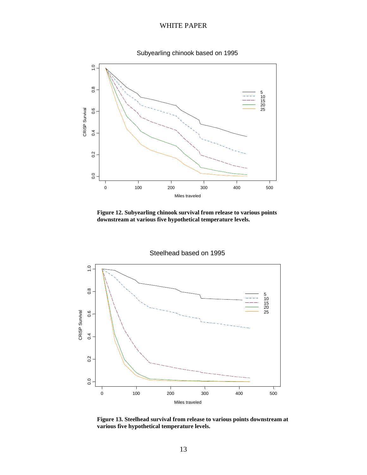



**Figure 12. Subyearling chinook survival from release to various points downstream at various five hypothetical temperature levels.** 



**Figure 13. Steelhead survival from release to various points downstream at various five hypothetical temperature levels.**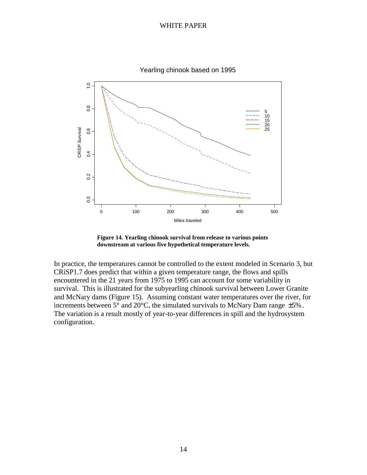

Yearling chinook based on 1995

**Figure 14. Yearling chinook survival from release to various points downstream at various five hypothetical temperature levels.** 

In practice, the temperatures cannot be controlled to the extent modeled in Scenario 3, but CRiSP1.7 does predict that within a given temperature range, the flows and spills encountered in the 21 years from 1975 to 1995 can account for some variability in survival. This is illustrated for the subyearling chinook survival between Lower Granite and McNary dams (Figure 15). Assuming constant water temperatures over the river, for increments between  $5^{\circ}$  and  $20^{\circ}$ C, the simulated survivals to McNary Dam range  $\pm 5\%$ . The variation is a result mostly of year-to-year differences in spill and the hydrosystem configuration.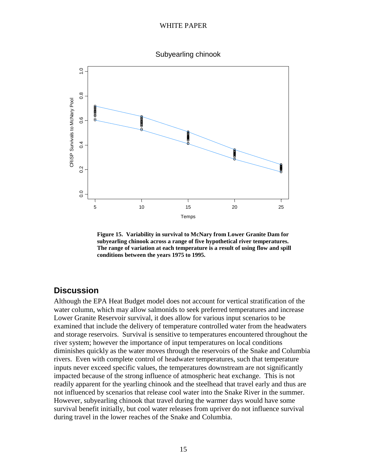Subyearling chinook



**Figure 15. Variability in survival to McNary from Lower Granite Dam for subyearling chinook across a range of five hypothetical river temperatures. The range of variation at each temperature is a result of using flow and spill conditions between the years 1975 to 1995.** 

## **Discussion**

Although the EPA Heat Budget model does not account for vertical stratification of the water column, which may allow salmonids to seek preferred temperatures and increase Lower Granite Reservoir survival, it does allow for various input scenarios to be examined that include the delivery of temperature controlled water from the headwaters and storage reservoirs. Survival is sensitive to temperatures encountered throughout the river system; however the importance of input temperatures on local conditions diminishes quickly as the water moves through the reservoirs of the Snake and Columbia rivers. Even with complete control of headwater temperatures, such that temperature inputs never exceed specific values, the temperatures downstream are not significantly impacted because of the strong influence of atmospheric heat exchange. This is not readily apparent for the yearling chinook and the steelhead that travel early and thus are not influenced by scenarios that release cool water into the Snake River in the summer. However, subyearling chinook that travel during the warmer days would have some survival benefit initially, but cool water releases from upriver do not influence survival during travel in the lower reaches of the Snake and Columbia.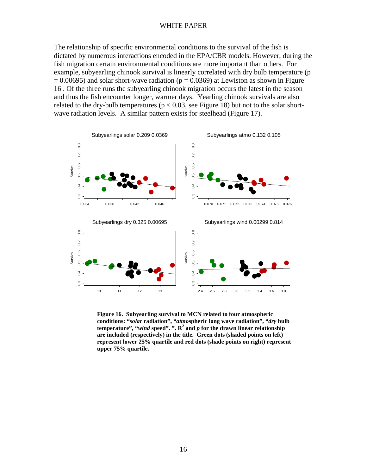The relationship of specific environmental conditions to the survival of the fish is dictated by numerous interactions encoded in the EPA/CBR models. However, during the fish migration certain environmental conditions are more important than others. For example, subyearling chinook survival is linearly correlated with dry bulb temperature (p  $= 0.00695$ ) and solar short-wave radiation (p  $= 0.0369$ ) at Lewiston as shown in Figure 16 . Of the three runs the subyearling chinook migration occurs the latest in the season and thus the fish encounter longer, warmer days. Yearling chinook survivals are also related to the dry-bulb temperatures ( $p < 0.03$ , see Figure 18) but not to the solar shortwave radiation levels. A similar pattern exists for steelhead (Figure 17).



**Figure 16. Subyearling survival to MCN related to four atmospheric conditions: "***solar* **radiation", "***atmo***spheric long wave radiation", "***dry* **bulb temperature", "***wind* **speed". ". R<sup>2</sup> and** *p* **for the drawn linear relationship are included (respectively) in the title. Green dots (shaded points on left) represent lower 25% quartile and red dots (shade points on right) represent upper 75% quartile.**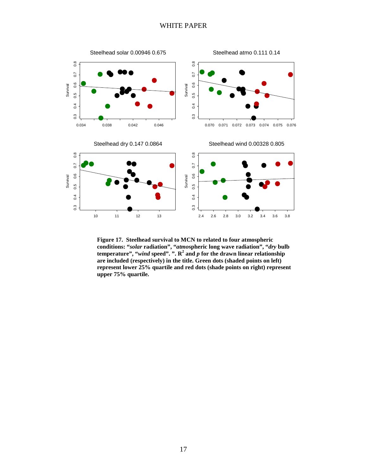

**Figure 17. Steelhead survival to MCN to related to four atmospheric conditions: "***solar* **radiation", "***atmo***spheric long wave radiation", "***dry* **bulb temperature", "***wind* **speed". ". R<sup>2</sup> and** *p* **for the drawn linear relationship are included (respectively) in the title. Green dots (shaded points on left) represent lower 25% quartile and red dots (shade points on right) represent upper 75% quartile.**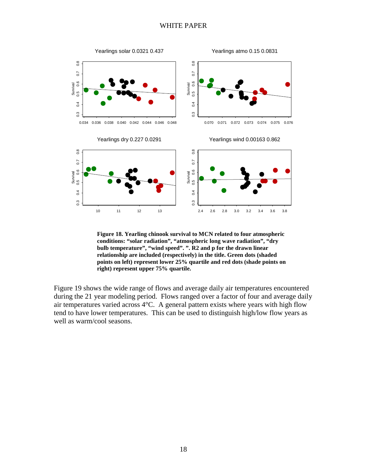

**Figure 18. Yearling chinook survival to MCN related to four atmospheric conditions: "solar radiation", "atmospheric long wave radiation", "dry bulb temperature", "wind speed". ". R2 and p for the drawn linear relationship are included (respectively) in the title. Green dots (shaded points on left) represent lower 25% quartile and red dots (shade points on right) represent upper 75% quartile.**

Figure 19 shows the wide range of flows and average daily air temperatures encountered during the 21 year modeling period. Flows ranged over a factor of four and average daily air temperatures varied across 4°C. A general pattern exists where years with high flow tend to have lower temperatures. This can be used to distinguish high/low flow years as well as warm/cool seasons.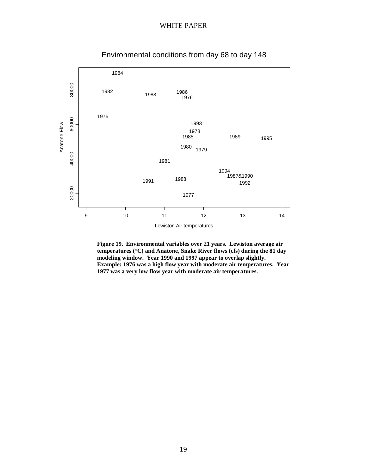

Environmental conditions from day 68 to day 148

**Figure 19. Environmental variables over 21 years. Lewiston average air temperatures (°C) and Anatone, Snake River flows (cfs) during the 81 day modeling window. Year 1990 and 1997 appear to overlap slightly. Example: 1976 was a high flow year with moderate air temperatures. Year 1977 was a very low flow year with moderate air temperatures.**